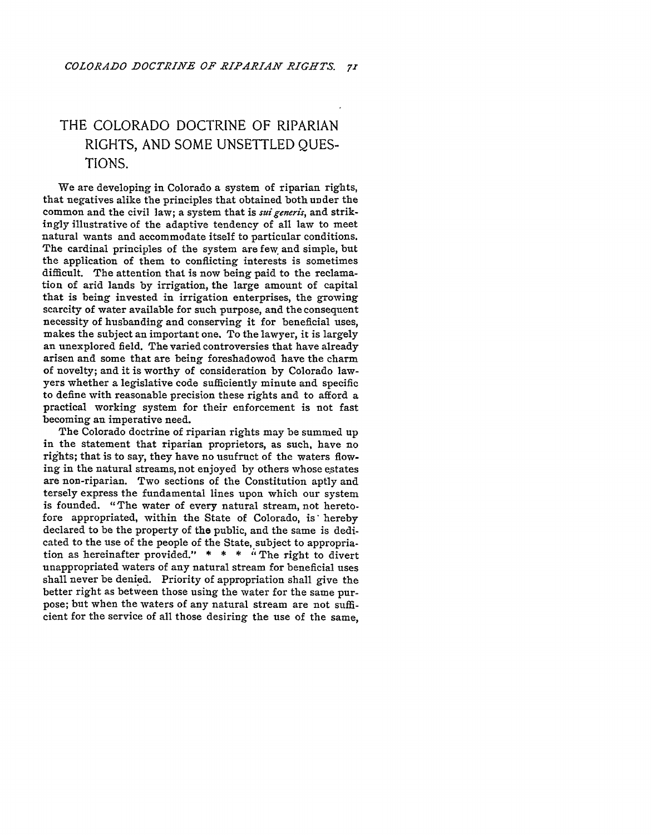# THE COLORADO DOCTRINE OF RIPARIAN RIGHTS, **AND SOME UNSETTLED QUES-TIONS.**

We are developing in Colorado a system of riparian rights, that negatives alike the principles that obtained both under the common and the civil law; a system that is *suigeneris,* and strikingly illustrative of the adaptive tendency of all law to meet natural wants and accommodate itself to particular conditions. The cardinal principles of the system are few and simple, but the application of them to conflicting interests is sometimes difficult. The attention that is now being paid to the reclamation of arid lands by irrigation, the large amount of capital that is being invested in irrigation enterprises, the growing scarcity of water available for such purpose, and the consequent necessity of husbanding and conserving it for beneficial uses, makes the subject an important one. To the lawyer, it is largely an unexplored field. The varied controversies that have already arisen and some that are being foreshadowod have the charm of novelty; and it is worthy of consideration by Colorado lawyers whether a legislative code sufficiently minute and specific to define with reasonable precision these rights and to afford a practical working system for their enforcement is not fast becoming an imperative need.

The Colorado doctrine of riparian rights may be summed up in the statement that riparian proprietors, as such, have no rights; that is to say, they have no usufruct of the waters flowing in the natural streams, not enjoyed by others whose estates are non-riparian. Two sections of the Constitution aptly and tersely express the fundamental lines upon which our system is founded. "The water of every natural stream, not heretofore appropriated, within the State of Colorado, is' hereby declared to be the property of the public, and the same is dedicated to the use of the people of the State, subject to appropriation as hereinafter provided."  $* * * "The right to divert$ unappropriated waters of any natural stream for beneficial uses shall never be denied. Priority of appropriation shall give the better right as between those using the water for the same purpose; but when the waters of any natural stream are not sufficient for the service of all those desiring the use of the same,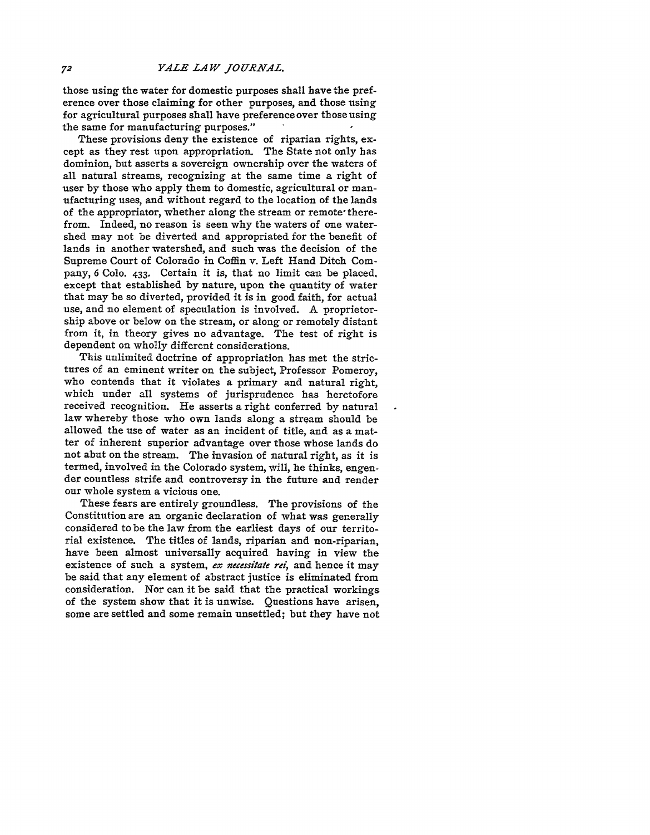those using the water for domestic purposes shall have the preference over those claiming for other purposes, and those using for agricultural purposes shall have preference over those using the same for manufacturing purposes."

These provisions deny the existence of riparian rights, except as they rest upon appropriation. The State not only has dominion, but asserts a sovereign ownership over the waters of all natural streams, recognizing at the same time a right of user **by** those who apply them to domestic, agricultural or manufacturing uses, and without regard to the location of the lands of the appropriator, whether along the stream or remote therefrom. Indeed, no reason is seen why the waters of one watershed may not be diverted and appropriated for the benefit of lands in another watershed, and such was the decision of the Supreme Court of Colorado in Coffin v. Left Hand Ditch Company, 6 Colo. 433. Certain it is, that no limit can be placed, except that established by nature, upon the quantity of water that may be so diverted, provided it is in good faith, for actual use, and no element of speculation is involved. A proprietorship above or below on the stream, or along or remotely distant from it, in theory gives no advantage. The test of right is dependent on wholly different considerations.

This unlimited doctrine of appropriation has met the strictures of an eminent writer on the subject, Professor Pomeroy, who contends that it violates a primary and natural right, which under all systems of jurisprudence has heretofore received recognition. He asserts a right conferred by natural law whereby those who own lands along a stream should be allowed the use of water as an incident of title, and as a matter of inherent superior advantage over those whose lands do not abut on the stream. The invasion of natural right, as it is termed, involved in the Colorado system, will, he thinks, engender countless strife and controversy in the future and render our whole system a vicious one.

These fears are entirely groundless. The provisions of the Constitution are an organic declaration of what was generally considered to be the law from the earliest days of our territorial existence. The titles of lands, riparian and non-riparian, have been almost universally acquired having in view the existence of such a system, *ex necessitate rei,* and hence it may be said that any element of abstract justice is eliminated from consideration. Nor can it be said that the practical workings of the system show that it is unwise. Questions have arisen, some are settled and some remain unsettled; but they have not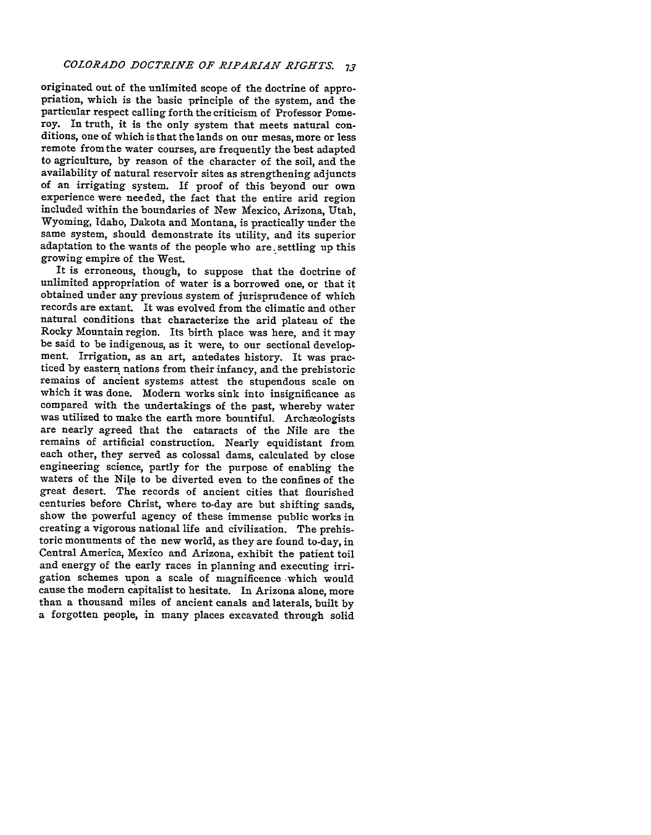originated out of the unlimited scope of the doctrine of appropriation, which is the basic principle of the system, and the particular respect calling forth the criticism of Professor Pomeroy. In truth, it is the only system that meets natural conditions, one of which is that the lands on our mesas, more or less remote from the water courses, are frequently the best adapted to agriculture, by reason of the character of the soil, and the availability of natural reservoir sites as strengthening adjuncts of an irrigating system. If proof of this beyond our own experience were needed, the fact that the entire arid region included within the boundaries of New Mexico, Arizona, Utah, Wyoming, Idaho, Dakota and Montana, is practically under the same system, should demonstrate its utility, and its superior adaptation to the wants of the people who are. settling up this growing empire of the West.

It is erroneous, though, to suppose that the doctrine of unlimited appropriation of water is a borrowed one, or that it obtained under any previous system of jurisprudence of which records are extant. It was evolved from the climatic and other natural conditions that characterize the arid plateau of the Rocky Mountain region. Its birth place was here, and it may be said to be indigenous, as it were, to our sectional development. Irrigation, as an art, antedates history. It was practiced **by** eastern nations from their infancy, and the prehistoric remains of ancient systems attest the stupendous scale on which it was done. Modern works sink into insignificance as compared with the undertakings of the past, whereby water was utilized to make the earth more bountiful. Archæologists are nearly agreed that the cataracts of the Nile are the remains of artificial construction. Nearly equidistant from each other, they served as colossal dams, calculated **by** close engineering science, partly for the purpose of enabling the waters of the Nile to be diverted even to the confines of the great desert. The records of ancient cities that flourished centuries before Christ, where to-day are but shifting sands, show the powerful agency of these immense public works in creating a vigorous national life and civilization. The prehistoric monuments of the new world, as they are found to-day, in Central America, Mexico and Arizona, exhibit the patient toil and energy of the early races in planning and executing irrigation schemes upon a scale of magnificence which would cause the modern capitalist to hesitate. In Arizona alone, more than a thousand miles of ancient canals and laterals, built by a forgotten people, in many places excavated through solid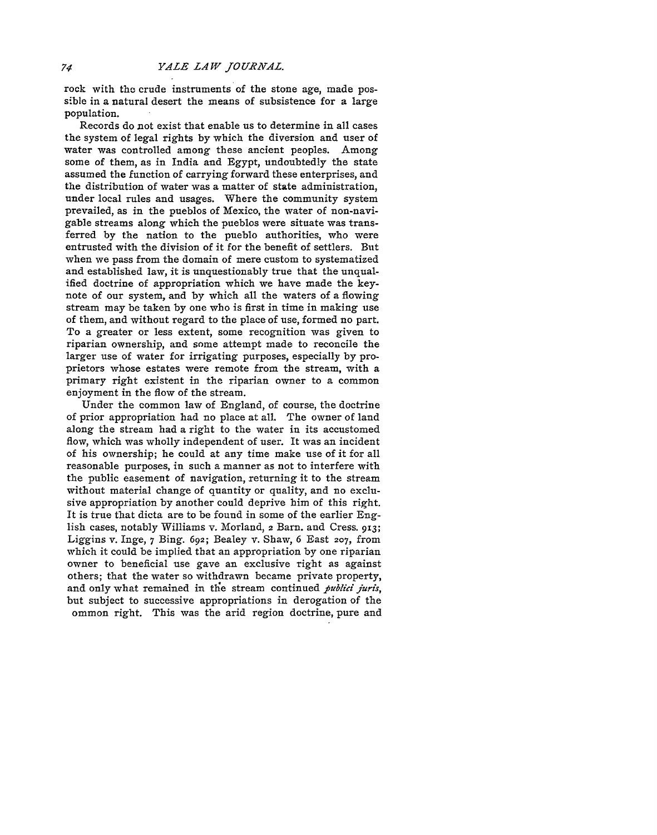rock with the crude instruments of the stone age, made possible in a natural desert the means of subsistence for a large population.

Records do not exist that enable us to determine in all cases the system of legal rights by which the diversion and user of water was controlled among these ancient peoples. Among some of them, as in India and Egypt, undoubtedly the state assumed the function of carrying forward these enterprises, and the distribution of water was a matter of state administration, under local rules and usages. Where the community system prevailed, as in the pueblos of Mexico, the water of non-navigable streams along which the pueblos were situate was transferred by the nation to the pueblo authorities, who were entrusted with the division of it for the benefit of settlers. But when we pass from the domain of mere custom to systematized and established law, it is unquestionably true that the unqualified doctrine of appropriation which we have made the keynote of our system, and by which all the waters of a flowing stream may be taken by one who is first in time in making use of them, and without regard to the place of use, formed no part. To a greater or less extent, some recognition was given to riparian ownership, and some attempt made to reconcile the larger use of water for irrigating purposes, especially by proprietors whose estates were remote from the stream, with a primary right existent in the riparian owner to a common enjoyment in the flow of the stream.

Under the common law of England, of course, the doctrine of prior appropriation had no place at all. The owner of land along the stream had a right to the water in its accustomed flow, which was wholly independent of user. It was an incident of his ownership; he could at any time make use of it for all reasonable purposes, in such a manner as not to interfere with the public easement of navigation, returning it to the stream without material change of quantity or quality, and no exclusive appropriation by another could deprive him of this right. It is true that dicta are to be found in some of the earlier English cases, notably Williams v. Morland, 2 Barn. and Cress. **913;** Liggins v. Inge, 7 Bing. **692;** Bealey v. Shaw, 6 East **207,** from which it could be implied that an appropriation by one riparian owner to beneficial use gave an exclusive right as against others; that the water so withdrawn became private property, and only what remained in the stream continued *publici juris*, but subject to successive appropriations in derogation of the ommon right. This was the arid region doctrine, pure and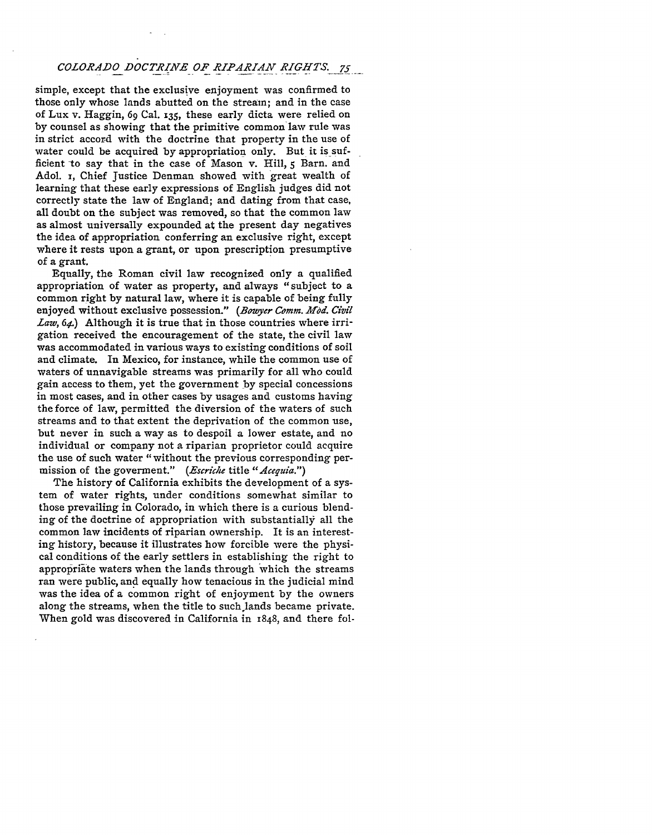## *COLORADO DOCTRINE OF RIPARIAN RIGHTS. 75*

simple, except that the exclusive enjoyment was confirmed to those only whose lands abutted on the stream; and in the case of Lux v. Haggin, 69 Cal. **<sup>135</sup> ,** these early dicta were relied on by counsel as showing that the primitive common law rule was in strict accord with the doctrine that property in the use of water could be acquired by appropriation only. But it is sufficient to say that in the case of Mason v. Hill,  $5$  Barn. and Adol. i, Chief Justice Denman showed with great wealth of learning that these early expressions of English judges did not correctly state the law of England; and dating from that case, all doubt on the subject was removed, so that the common law as almost universally expounded at the present day negatives the idea of appropriation conferring an exclusive right, except where it rests upon a grant, or upon prescription presumptive of a grant.

Equally, the Roman civil law recognized only a qualified appropriation of water as property, and always "subject to a common right by natural law, where it is capable of being fully enjoyed without exclusive possession." (Bowyer Comm. Mod. Civil *Law, 64.*) Although it is true that in those countries where irrigation received the encouragement of the state, the civil law was accommodated in various ways to existing conditions of soil and climate. In Mexico, for instance, while the common use of waters of unnavigable streams was primarily for all who could gain access to them, yet the government by special concessions in most cases, and in other cases by usages and customs having the force of law, permitted the diversion of the waters of such streams and to that extent the deprivation of the common use, but never in such a way as to despoil a lower estate, and no individual or company not a riparian proprietor could acquire the use of such water "without the previous corresponding permission of the goverment." *(Escriche* title *"Acegiuia.")*

The history of California exhibits the development of a system of water rights, under conditions somewhat similar to those prevailing in Colorado, in which there is a curious blending of the doctrine of appropriation with substantially all the common law incidents of riparian ownership. It is an interesting history, because it illustrates how forcible were the physical conditions of the early settlers in establishing the right to appropriate waters when the lands through which the streams ran were public, and equally how tenacious in the judicial mind was the idea of a common right of enjoyment by the owners along the streams, when the title to such lands became private. When gold was discovered in California in 1848, and there fol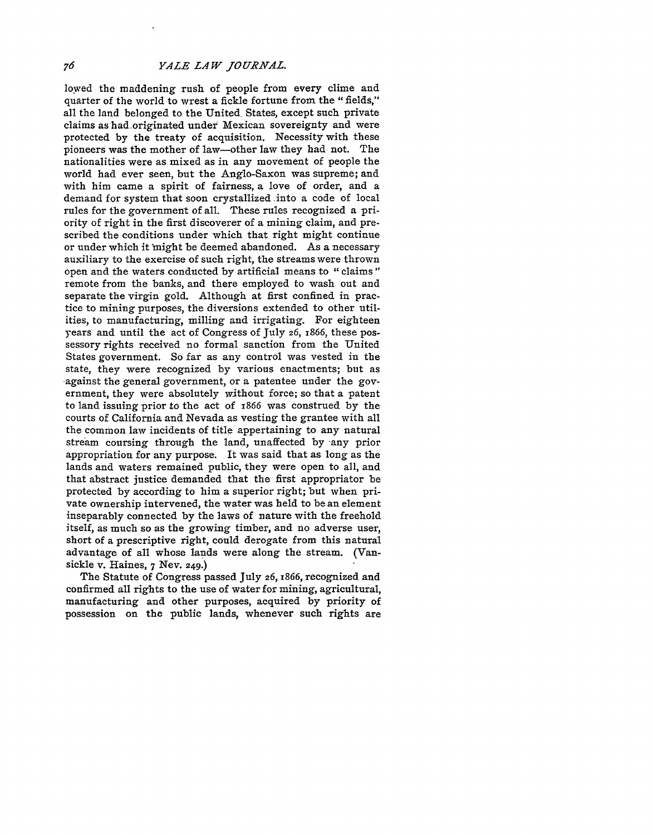*YALE LAW JOURNAL.*

lowed the maddening rush of people from every clime and quarter of the world to wrest a fickle fortune from the "fields," all the land belonged to the United States, except such private claims as had.originated under Mexican sovereignty and were protected **by** the treaty of acquisition. Necessity with these pioneers was the mother of law-other law they had not. The nationalities were as mixed as in any movement of people the world had ever seen, but the Anglo-Saxon was supreme; and with him came a spirit of fairness, a love of order, and a demand for system that soon crystallized into a code of local rules for the government of all. These rules recognized a priority of right in the first discoverer of a mining claim, and prescribed the conditions under which that right might continue or under which it "might be deemed abandoned. As a necessary auxiliary to the exercise of such right, the streams were thrown open and the waters conducted **by** artificial means to "claims **"** remote from the banks, and there employed to wash out and separate the virgin gold. Although at first confined in practice to mining purposes, the diversions extended to other utilities, to manufacturing, milling and irrigating. For eighteen years and until the act of Congress of July 26, i866, these possessory rights received no formal sanction from the United States government. So far as any control was vested in the state, they were recognized **by** various enactments; but as against the general government, or a patentee under the government, they were absolutely without force; so that a patent to land issuing prior to the act of i866 was construed **by** the courts of California and Nevada as vesting the grantee with all the common law incidents of title appertaining to any natural stream coursing through the land, unaffected by any prior appropriation for any purpose. It was said that as long as the lands and waters remained public, they were open to all, and that abstract justice demanded that the first appropriator be protected **by** according to him a superior right; but when private ownership intervened, the water was held to be an element inseparably connected by the laws of nature with the freehold itself, as much so as the growing timber, and no adverse user, short of a prescriptive right, could derogate from this natural advantage of all whose lands were along the stream. (Vansickle v. Haines, **7** Nev. **249.)**

The Statute of Congress passed July **26, x866,** recognized and confirmed all rights to the use of water for mining, agricultural, manufacturing and other purposes, acquired by priority of possession on the public lands, whenever such rights are

76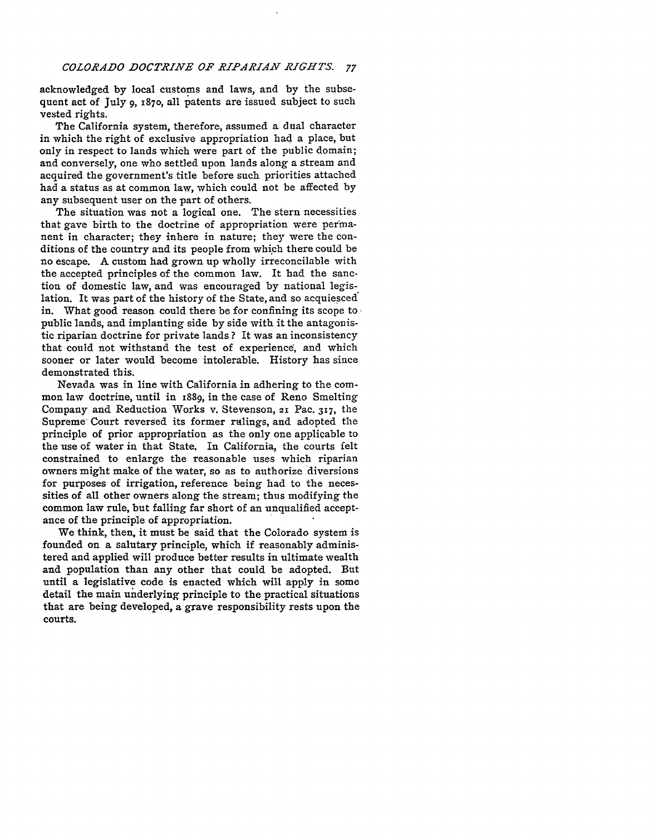### *COLORADO DOCTRINE OF RIPARIAN RIGHTS. 77*

acknowledged by local customs and laws, and by the subsequent act of July 9, I870, all patents are issued subject to such vested rights.

The California system, therefore, assumed a dual character in which the right of exclusive appropriation had a place, but only in respect to lands which were part of the public domain; and conversely, one who settled upon lands along a stream and acquired the government's title before such priorities attached had a status as at common law, which could not be affected by any subsequent user on the part of others.

The situation was not a logical one. The stern necessities that gave birth to the doctrine of appropriation were permanent in character; they inhere in nature; they were the conditions of the country and its people from which there could be no escape. A custom had grown up wholly irreconcilable with the accepted principles of the common law. It had the sanction of domestic law, and was encouraged by national legislation. It was part of the history of the State, and so acquiesced in. What good reason could there be for confining its scope to. public lands, and implanting side by side with it the antagonistic riparian doctrine for private lands ? It was an inconsistency that could not withstand the test of experience, and which sooner or later would become intolerable. History has since demonstrated this.

Nevada was in line with California in adhering to the common law doctrine, until in 1889, in the case of Reno Smelting Company and Reduction Works v. Stevenson, 21 Pac. 37, the Supreme Court reversed its former rulings, and adopted the principle of prior appropriation as the only one applicable to the use of water in that State. In California, the courts felt constrained to enlarge the reasonable uses which riparian owners might make of the water, so as to authorize diversions for purposes of irrigation, reference being had to the necessities of all other owners along the stream; thus modifying the common law rule, but falling far short of an unqualified acceptance of the principle of appropriation.

We think, then, it must be said that the Colorado system is founded on a salutary principle, which if reasonably administered and applied will produce better results in ultimate wealth and population than any other that could be adopted. But until a legislative code is enacted which will apply in some detail the main underlying principle to the practical situations that are being developed, a grave responsibility rests upon the courts.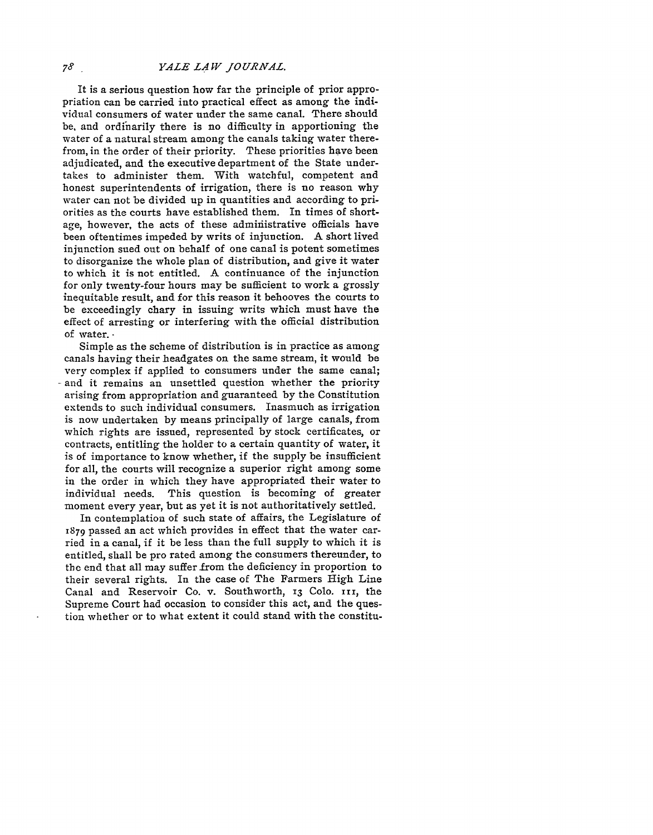It is a serious question how far the principle of prior appropriation can be carried into practical effect as among the individual consumers of water under the same canal. There should be, and ordinarily there is no difficulty in apportioning the water of a natural stream among the canals taking water therefrom, in the order of their priority. These priorities have been adjudicated, and the executive department of the State undertakes to administer them. With watchful, competent and honest superintendents of irrigation, there is no reason why water can not be divided up in quantities and according to priorities as the courts have established them. In times of shortage, however, the acts of these administrative officials have been oftentimes impeded by writs of injunction. A short lived injunction sued out on behalf of one canal is potent sometimes to disorganize the whole plan of distribution, and give it water to which it is not entitled. A continuance of the injunction for only twenty-four hours may be sufficient to work a grossly inequitable result, and for this reason it behooves the courts to be exceedingly chary in issuing writs which must have the effect of arresting or interfering with the official distribution of water. **-**

Simple as the scheme of distribution is in practice as among canals having their headgates on the same stream, it would be very complex if applied to consumers under the same canal; and it remains an unsettled question whether the priority arising from appropriation and guaranteed by the Constitution extends to such individual consumers. Inasmuch as irrigation is now undertaken by means principally of large canals, from which rights are issued, represented by stock certificates, or contracts, entitling the holder to a certain quantity of water, it is of importance to know whether, if the supply be insufficient for all, the courts will recognize a superior right among some in the order in which they have appropriated their water to individual needs. This question is becoming of greater moment every year, but as yet it is not authoritatively settled.

In contemplation of such state of affairs, the Legislature of 1879 passed an act which provides in effect that the water carried in a canal, if it be less than the full supply to which it is entitled, shall be pro rated among the consumers thereunder, to **the** end that all may suffer from the deficiency in proportion to their several rights. In the case of The Farmers High Line Canal and Reservoir Co. v. Southworth, **13 Colo. iii,** the Supreme Court had occasion to consider this act, and the question whether or to what extent it could stand with the constitu-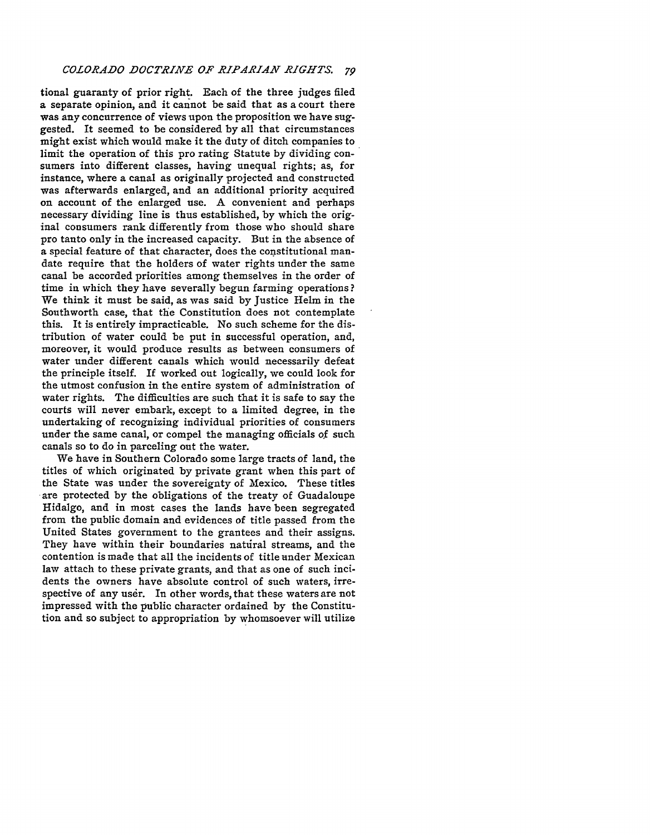#### *COLORADO DOCTRINE OF RIPARIAN RIGHTS. 79*

tional guaranty of prior right. Each of the three judges filed a separate opinion, and it cannot be said that as a court there was any concurrence of views upon the proposition we have suggested. It seemed to be considered **by** all that circumstances might exist which would make it the duty of ditch companies to limit the operation of this pro rating Statute **by** dividing consumers into different classes, having unequal rights; as, for instance, where a canal as originally projected and constructed was afterwards enlarged, and an additional priority acquired on account of the enlarged use. A convenient and perhaps necessary dividing line is thus established, by which the original consumers rank differently from those who should share pro tanto only in the increased capacity. But in the absence of a special feature of that character, does the constitutional mandate require that the holders of water rights under the same canal be accorded priorities among themselves in the order of time in which they have severally begun farming operations? We think it must be said, as was said by Justice Helm in the Southworth case, that the Constitution does not contemplate this. It is entirely impracticable. No such scheme for the distribution of water could be put in successful operation, and, moreover, it would produce results as between consumers of water under different canals which would necessarily defeat the principle itself. If worked out logically, we could look for the utmost confusion in the entire system of administration of water rights. The difficulties are such that it is safe to say the courts will never embark, except to a limited degree, in the undertaking of recognizing individual priorities of consumers under the same canal, or compel the managing officials of such canals so to do in parceling out the water.

We have in Southern Colorado some large tracts of land, the titles of which originated **by** private grant when this part of the State was under the sovereignty of Mexico. These titles are protected **by** the obligations of the treaty of Guadaloupe Hidalgo, and in most cases the lands have been segregated from the public domain and evidences of title passed from the United States government to the grantees and their assigns. They have within their boundaries natural streams, and the contention is made that all the incidents of title under Mexican law attach to these private grants, and that as one of such incidents the owners have absolute control of such waters, irrespective of any user. In other words, that these waters are not impressed with the public character ordained **by** the Constitution and so subject to appropriation by whomsoever will utilize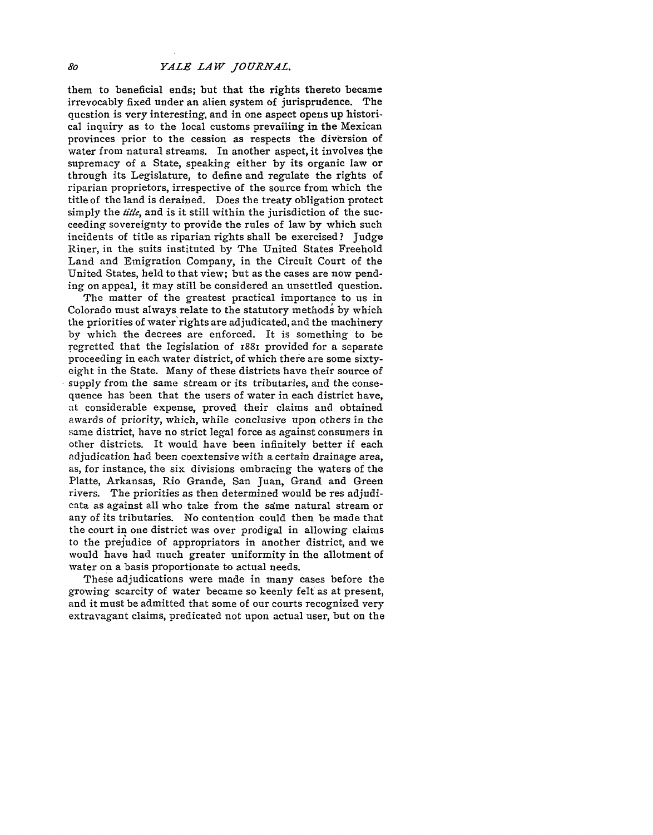them to beneficial ends; but that the rights thereto became irrevocably fixed under an alien system of jurisprudence. The question is very interesting, and in one aspect opens up historical inquiry as to the local customs prevailing in the Mexican provinces prior to the cession as respects the diversion of water from natural streams. In another aspect, it involves the supremacy of a State, speaking either by its organic law or through its Legislature, to define and regulate the rights of riparian proprietors, irrespective of the source from which the title of the land is derained. Does the treaty obligation protect simply the *title,* and is it still within the jurisdiction of the succeeding sovereignty to provide the rules of law by which such incidents of title as riparian rights shall be exercised? Judge Riner, in the suits instituted by The United States Freehold Land and Emigration Company, in the Circuit Court of the United States, held to that view; but as the cases are now pending on appeal, it may still be considered an unsettled question.

The matter of the greatest practical importance to us in Colorado must always relate to the statutory methods by which the priorities of water'rights are adjudicated, and the machinery by which the decrees are enforced. It is something to be regretted that the legislation of 1881 provided for a separate proceeding in each water district, of which there are some sixtyeight in the State. Many of these districts have their source of supply from the same stream or its tributaries, and the consequence has been that the users of water in each district have, at considerable expense, proved their claims and obtained awards of priority, which, while conclusive upon others in the same district, have no strict legal force as against consumers in other districts. It would have been infinitely better if each adjudication had been coextensive with a certain drainage area, as, for instance, the six divisions embracing the waters of the Platte, Arkansas, Rio Grande, San Juan, Grand and Green rivers. The priorities as then determined would be res adjudicata as against all who take from the sdme natural stream or any of its tributaries. No contention could then be made that the court in one district was over prodigal in allowing claims to the prejudice of appropriators in another district, and we would have had much greater uniformity in the allotment of water on a basis proportionate to actual needs.

These adjudications were made in many cases before the growing scarcity of water became so keenly felt as at present, and it must be admitted that some of our courts recognized very extravagant claims, predicated not upon actual user, but on the